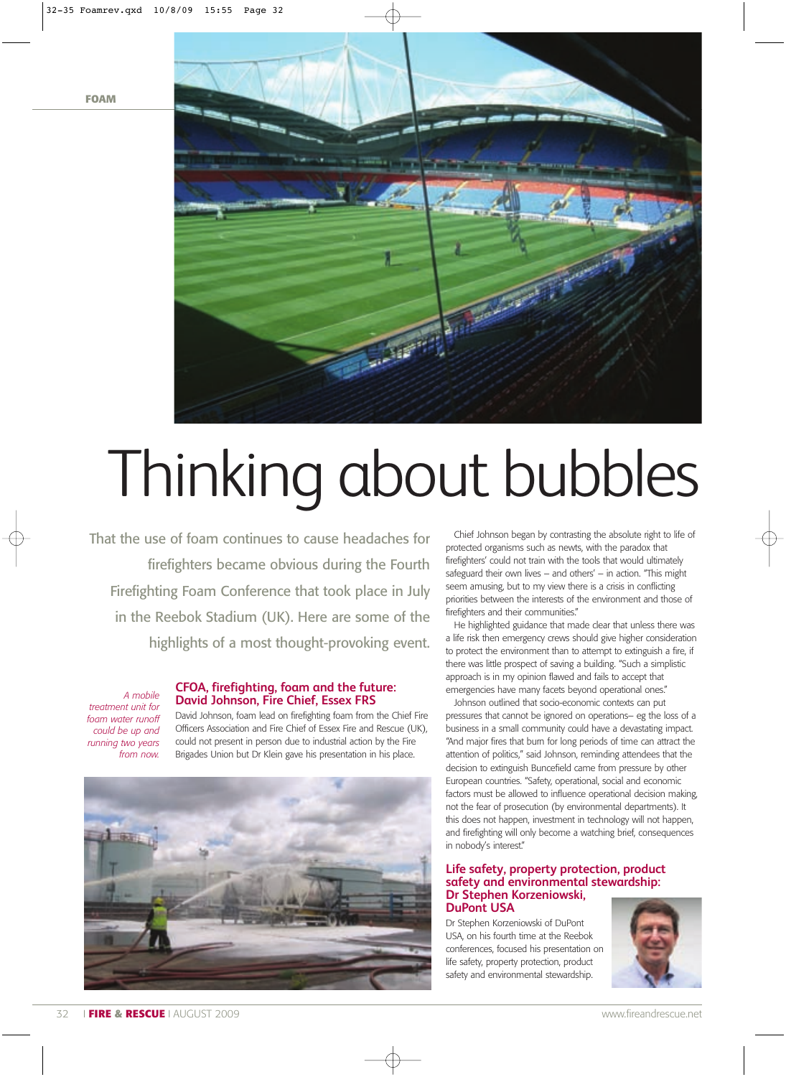

# Thinking about bubbles

That the use of foam continues to cause headaches for firefighters became obvious during the Fourth Firefighting Foam Conference that took place in July in the Reebok Stadium (UK). Here are some of the highlights of a most thought-provoking event.

*A mobile treatment unit for foam water runoff could be up and running two years from now.*

#### **CFOA, firefighting, foam and the future: David Johnson, Fire Chief, Essex FRS**

David Johnson, foam lead on firefighting foam from the Chief Fire Officers Association and Fire Chief of Essex Fire and Rescue (UK), could not present in person due to industrial action by the Fire Brigades Union but Dr Klein gave his presentation in his place.



Chief Johnson began by contrasting the absolute right to life of protected organisms such as newts, with the paradox that firefighters' could not train with the tools that would ultimately safeguard their own lives – and others' – in action. "This might seem amusing, but to my view there is a crisis in conflicting priorities between the interests of the environment and those of firefighters and their communities."

He highlighted guidance that made clear that unless there was a life risk then emergency crews should give higher consideration to protect the environment than to attempt to extinguish a fire, if there was little prospect of saving a building. "Such a simplistic approach is in my opinion flawed and fails to accept that emergencies have many facets beyond operational ones."

Johnson outlined that socio-economic contexts can put pressures that cannot be ignored on operations– eg the loss of a business in a small community could have a devastating impact. "And major fires that burn for long periods of time can attract the attention of politics," said Johnson, reminding attendees that the decision to extinguish Buncefield came from pressure by other European countries. "Safety, operational, social and economic factors must be allowed to influence operational decision making, not the fear of prosecution (by environmental departments). It this does not happen, investment in technology will not happen, and firefighting will only become a watching brief, consequences in nobody's interest."

#### **Life safety, property protection, product safety and environmental stewardship: Dr Stephen Korzeniowski, DuPont USA**

Dr Stephen Korzeniowski of DuPont USA, on his fourth time at the Reebok conferences, focused his presentation on life safety, property protection, product safety and environmental stewardship.

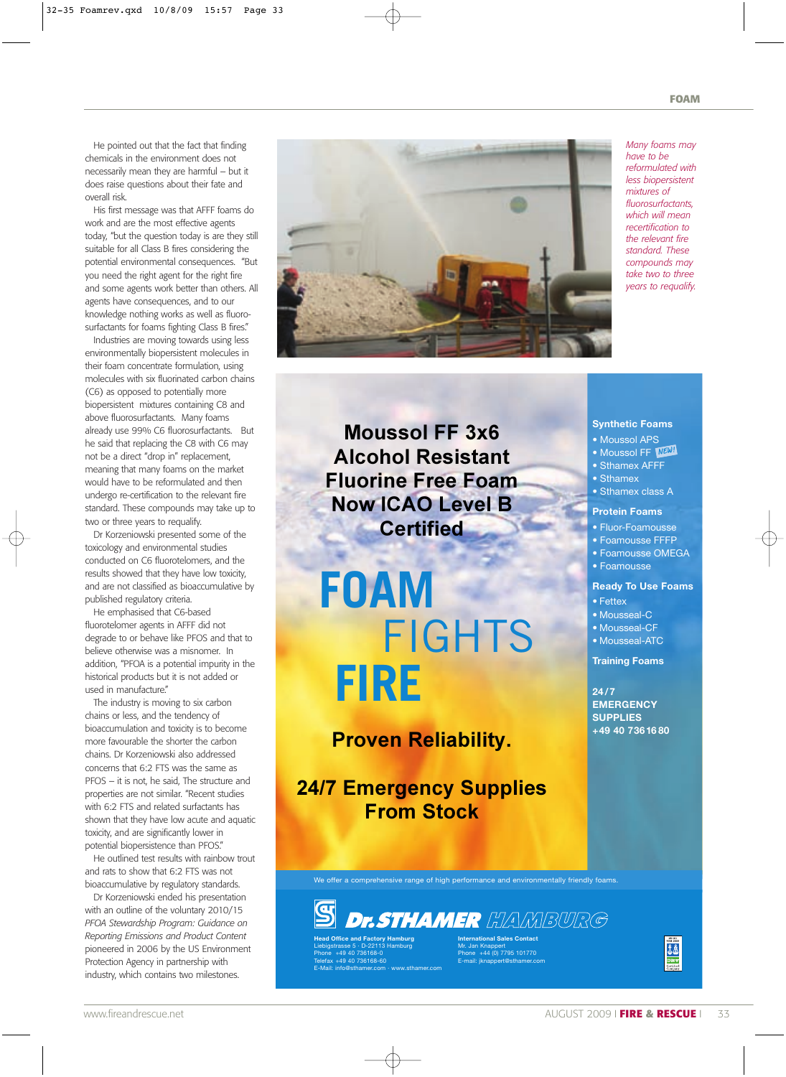He pointed out that the fact that finding chemicals in the environment does not necessarily mean they are harmful – but it does raise questions about their fate and overall risk.

His first message was that AFFF foams do work and are the most effective agents today, "but the question today is are they still suitable for all Class B fires considering the potential environmental consequences. "But you need the right agent for the right fire and some agents work better than others. All agents have consequences, and to our knowledge nothing works as well as fluorosurfactants for foams fighting Class B fires."

Industries are moving towards using less environmentally biopersistent molecules in their foam concentrate formulation, using molecules with six fluorinated carbon chains (C6) as opposed to potentially more biopersistent mixtures containing C8 and above fluorosurfactants. Many foams already use 99% C6 fluorosurfactants. But he said that replacing the C8 with C6 may not be a direct "drop in" replacement, meaning that many foams on the market would have to be reformulated and then undergo re-certification to the relevant fire standard. These compounds may take up to two or three years to requalify.

Dr Korzeniowski presented some of the toxicology and environmental studies conducted on C6 fluorotelomers, and the results showed that they have low toxicity, and are not classified as bioaccumulative by published regulatory criteria.

He emphasised that C6-based fluorotelomer agents in AFFF did not degrade to or behave like PFOS and that to believe otherwise was a misnomer. In addition, "PFOA is a potential impurity in the historical products but it is not added or used in manufacture."

The industry is moving to six carbon chains or less, and the tendency of bioaccumulation and toxicity is to become more favourable the shorter the carbon chains. Dr Korzeniowski also addressed concerns that 6:2 FTS was the same as PFOS – it is not, he said, The structure and properties are not similar. "Recent studies with 6:2 FTS and related surfactants has shown that they have low acute and aquatic toxicity, and are significantly lower in potential biopersistence than PFOS."

He outlined test results with rainbow trout and rats to show that 6:2 FTS was not bioaccumulative by regulatory standards.

Dr Korzeniowski ended his presentation with an outline of the voluntary 2010/15 *PFOA Stewardship Program: Guidance on Reporting Emissions and Product Content* pioneered in 2006 by the US Environment Protection Agency in partnership with industry, which contains two milestones.



*Many foams may have to be reformulated with less biopersistent mixtures of fluorosurfactants, which will mean recertification to the relevant fire standard. These compounds may take two to three years to requalify.*

**Moussol FF 3x6 Alcohol Resistant Fluorine Free Foam Now ICAO Level B Certified**

## **FOAM** FIGHTS **FIRE**

### **Proven Reliability.**

**24/7 Emergency Supplies From Stock**

#### **Synthetic Foams**

- Moussol APS
- Moussol FF NEW!
- Sthamex AFFF
- Sthamex
- Sthamex class A

#### **Protein Foams**

- Fluor-Foamousse
- Foamousse FFFP
- Foamousse OMEGA
- Foamousse

#### **Ready To Use Foams**

- Fettex
- Mousseal-C
- Mousseal-CF
- Mousseal-ATC

**Training Foams**

**24/7 EMERGENCY SUPPLIES**  • Moussol FF<br>
• Sthamex AFFF<br>
• Sthamex class A<br> **Protein Foams**<br>
• Fluor-Foamousse<br>
• Foamousse CME<br>
• Foamousse OME<br>
• Foamousse OME<br>
• Foamousse<br> **Ready To Use Foamousse<br>
• Ready To Use Foamousse<br>
• Mousseal-CF<br>
• Mouss** 

We offer a comprehensive range of high performance and environmentally friendly foams.



**Head Office and Factory Hamburg** Liebigstrasse 5 · D-22113 Hamburg Phone +49 40 736168-0 Telefax +49 40 736168-60 E-Mail: info@sthamer.com · www.sthamer.com **International Sales Contact** Mr. Jan Knappert Phone +44 (0) 7795 101770 E-mail: jknappert@sthamer.com

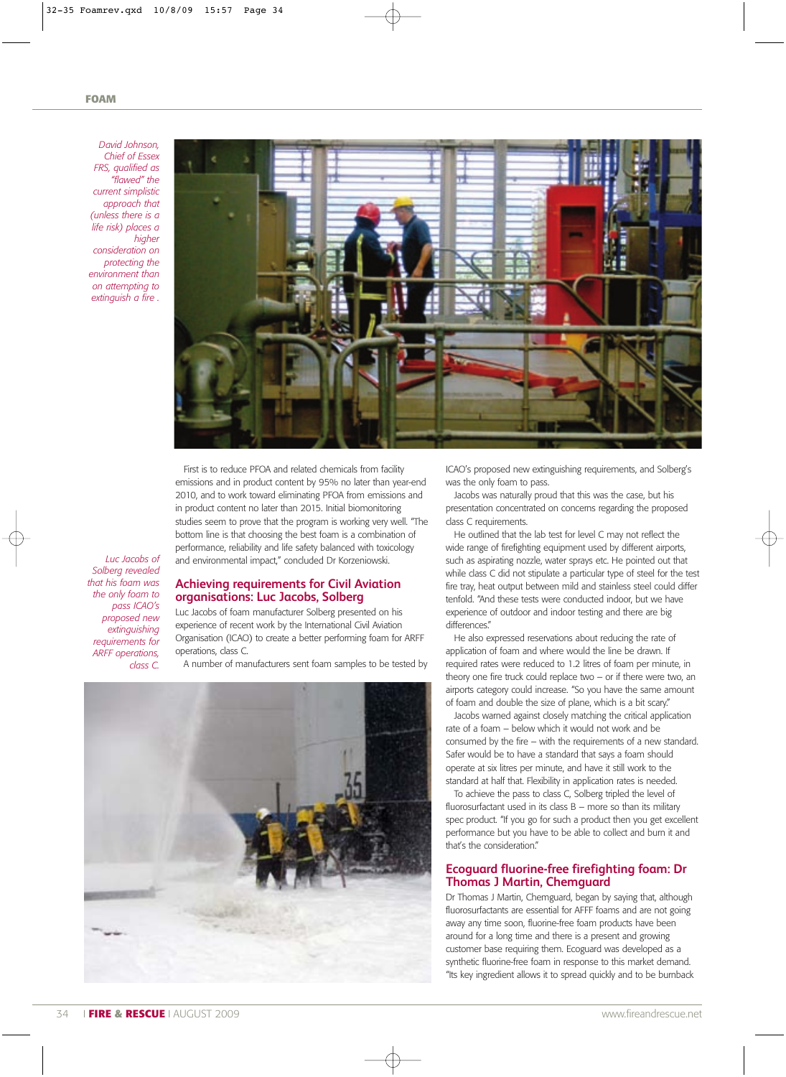*David Johnson, Chief of Essex FRS, qualified as "flawed" the current simplistic approach that (unless there is a life risk) places a higher consideration on protecting the environment than on attempting to extinguish a fire .*



First is to reduce PFOA and related chemicals from facility emissions and in product content by 95% no later than year-end 2010, and to work toward eliminating PFOA from emissions and in product content no later than 2015. Initial biomonitoring studies seem to prove that the program is working very well. "The bottom line is that choosing the best foam is a combination of performance, reliability and life safety balanced with toxicology and environmental impact," concluded Dr Korzeniowski.

*Luc Jacobs of Solberg revealed that his foam was the only foam to pass ICAO's proposed new extinguishing requirements for ARFF operations, class C.*

#### **Achieving requirements for Civil Aviation organisations: Luc Jacobs, Solberg**

Luc Jacobs of foam manufacturer Solberg presented on his experience of recent work by the International Civil Aviation Organisation (ICAO) to create a better performing foam for ARFF operations, class C.

A number of manufacturers sent foam samples to be tested by



ICAO's proposed new extinguishing requirements, and Solberg's was the only foam to pass.

Jacobs was naturally proud that this was the case, but his presentation concentrated on concerns regarding the proposed class C requirements.

He outlined that the lab test for level C may not reflect the wide range of firefighting equipment used by different airports, such as aspirating nozzle, water sprays etc. He pointed out that while class C did not stipulate a particular type of steel for the test fire tray, heat output between mild and stainless steel could differ tenfold. "And these tests were conducted indoor, but we have experience of outdoor and indoor testing and there are big differences."

He also expressed reservations about reducing the rate of application of foam and where would the line be drawn. If required rates were reduced to 1.2 litres of foam per minute, in theory one fire truck could replace two  $-$  or if there were two, an airports category could increase. "So you have the same amount of foam and double the size of plane, which is a bit scary."

Jacobs warned against closely matching the critical application rate of a foam – below which it would not work and be consumed by the fire – with the requirements of a new standard. Safer would be to have a standard that says a foam should operate at six litres per minute, and have it still work to the standard at half that. Flexibility in application rates is needed.

To achieve the pass to class C, Solberg tripled the level of fluorosurfactant used in its class B – more so than its military spec product. "If you go for such a product then you get excellent performance but you have to be able to collect and burn it and that's the consideration."

#### **Ecoguard fluorine-free firefighting foam: Dr Thomas J Martin, Chemguard**

Dr Thomas J Martin, Chemguard, began by saying that, although fluorosurfactants are essential for AFFF foams and are not going away any time soon, fluorine-free foam products have been around for a long time and there is a present and growing customer base requiring them. Ecoguard was developed as a synthetic fluorine-free foam in response to this market demand. "Its key ingredient allows it to spread quickly and to be burnback